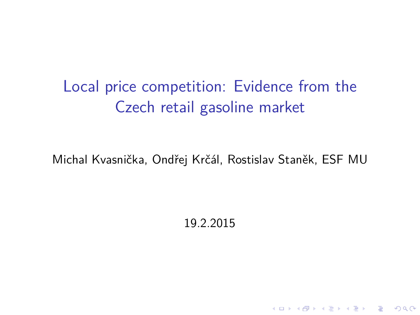Local price competition: Evidence from the Czech retail gasoline market

Michal Kvasnička, Ondřej Krčál, Rostislav Staněk, ESF MU

19.2.2015

KO K K Ø K K E K K E K V K K K K K K K K K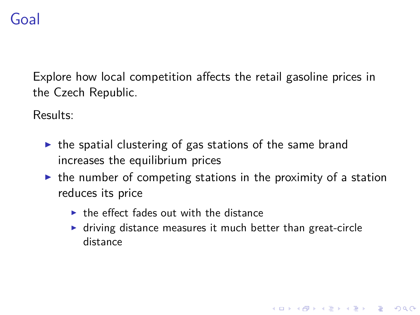# Goal

Explore how local competition affects the retail gasoline prices in the Czech Republic.

Results:

- $\triangleright$  the spatial clustering of gas stations of the same brand increases the equilibrium prices
- $\triangleright$  the number of competing stations in the proximity of a station reduces its price
	- $\triangleright$  the effect fades out with the distance
	- $\triangleright$  driving distance measures it much better than great-circle distance

K ロ ▶ K 個 ▶ K 할 ▶ K 할 ▶ 이 할 → 9 Q Q →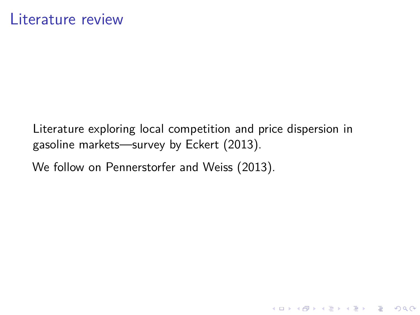Literature exploring local competition and price dispersion in gasoline markets—survey by Eckert (2013).

We follow on Pennerstorfer and Weiss (2013).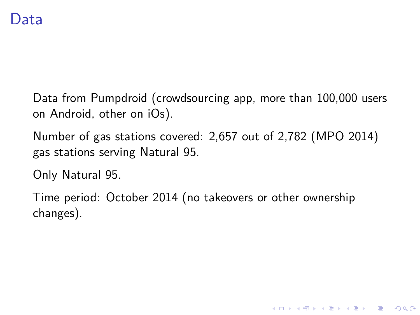#### Data

Data from Pumpdroid (crowdsourcing app, more than 100,000 users on Android, other on iOs).

Number of gas stations covered: 2,657 out of 2,782 (MPO 2014) gas stations serving Natural 95.

Only Natural 95.

Time period: October 2014 (no takeovers or other ownership changes).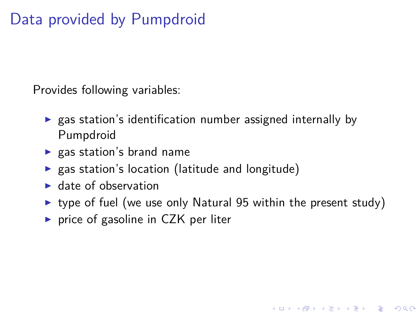# Data provided by Pumpdroid

Provides following variables:

- $\triangleright$  gas station's identification number assigned internally by Pumpdroid
- $\blacktriangleright$  gas station's brand name
- $\triangleright$  gas station's location (latitude and longitude)
- $\blacktriangleright$  date of observation
- $\triangleright$  type of fuel (we use only Natural 95 within the present study)

**KORKARYKERKER POLO** 

 $\triangleright$  price of gasoline in CZK per liter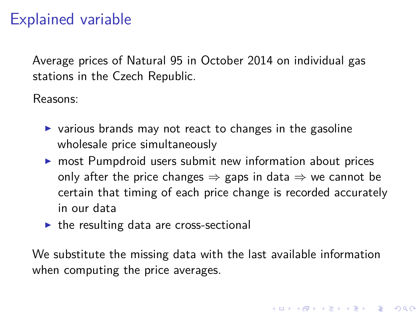# Explained variable

Average prices of Natural 95 in October 2014 on individual gas stations in the Czech Republic.

Reasons:

- $\triangleright$  various brands may not react to changes in the gasoline wholesale price simultaneously
- $\triangleright$  most Pumpdroid users submit new information about prices only after the price changes  $\Rightarrow$  gaps in data  $\Rightarrow$  we cannot be certain that timing of each price change is recorded accurately in our data
- $\triangleright$  the resulting data are cross-sectional

We substitute the missing data with the last available information when computing the price averages.

4 0 > 4 4 + 4 = + 4 = + = + + 0 4 0 +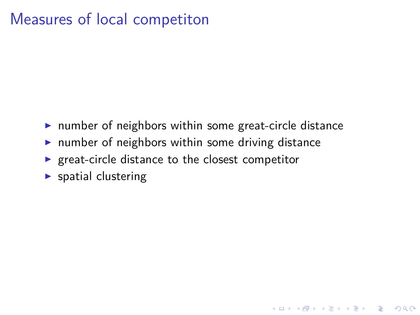#### Measures of local competiton

 $\triangleright$  number of neighbors within some great-circle distance

K ロ ▶ K 레 ▶ K 코 ▶ K 코 ▶ 『코 │ ◆ 9 Q Q ↓

- $\triangleright$  number of neighbors within some driving distance
- $\blacktriangleright$  great-circle distance to the closest competitor
- $\blacktriangleright$  spatial clustering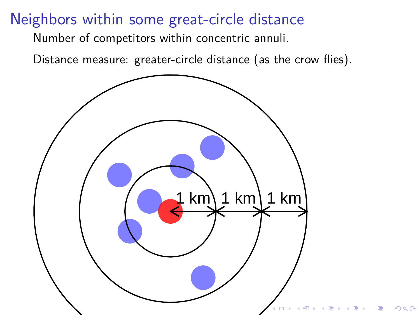#### Neighbors within some great-circle distance

Number of competitors within concentric annuli.

Distance measure: greater-circle distance (as the crow flies).

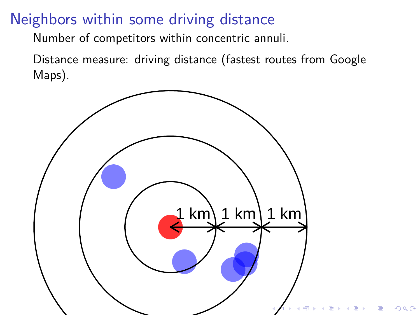# Neighbors within some driving distance

Number of competitors within concentric annuli.

Distance measure: driving distance (fastest routes from Google Maps).

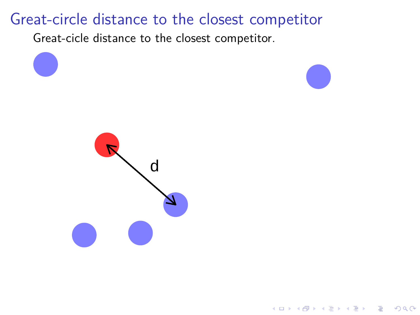#### Great-circle distance to the closest competitor

Great-cicle distance to the closest competitor.

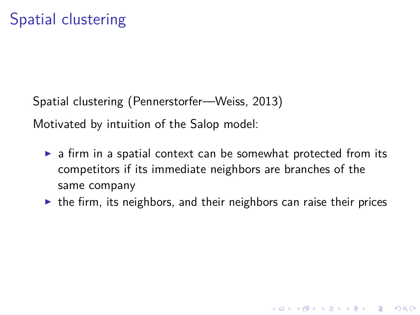Spatial clustering (Pennerstorfer—Weiss, 2013) Motivated by intuition of the Salop model:

- $\triangleright$  a firm in a spatial context can be somewhat protected from its competitors if its immediate neighbors are branches of the same company
- $\triangleright$  the firm, its neighbors, and their neighbors can raise their prices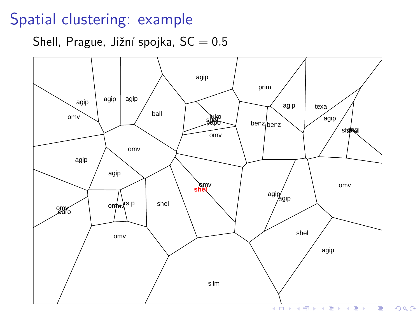#### Spatial clustering: example

Shell, Prague, Jižní spojka, SC = 0*.*5

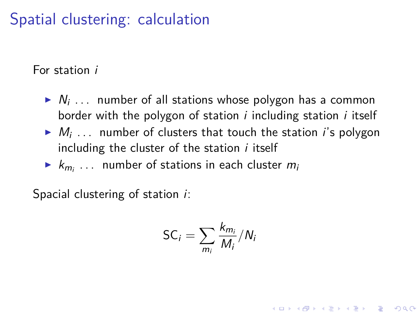# Spatial clustering: calculation

For station i

- $\blacktriangleright N_i$  ... number of all stations whose polygon has a common border with the polygon of station  $i$  including station  $i$  itself
- $\blacktriangleright$   $M_i$  ... number of clusters that touch the station *i*'s polygon including the cluster of the station  $i$  itself
- $\blacktriangleright$   $k_{m_i}$  ... number of stations in each cluster  $m_i$

Spacial clustering of station *i*:

$$
SC_i = \sum_{m_i} \frac{k_{m_i}}{M_i} / N_i
$$

**KORKAR KERKER SAGA**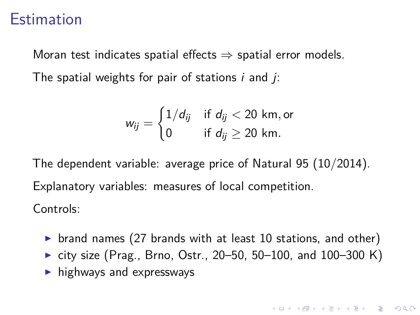#### **Estimation**

Moran test indicates spatial effects  $\Rightarrow$  spatial error models. The spatial weights for pair of stations  $i$  and  $j$ :

$$
w_{ij} = \begin{cases} 1/d_{ij} & \text{if } d_{ij} < 20 \text{ km, or} \\ 0 & \text{if } d_{ij} \geq 20 \text{ km.} \end{cases}
$$

The dependent variable: average price of Natural 95 (10/2014). Explanatory variables: measures of local competition. Controls:

- riand names (27 brands with at least 10 stations, and other)
- $\triangleright$  city size (Prag., Brno, Ostr., 20–50, 50–100, and 100–300 K)
- $\blacktriangleright$  highways and expresswavs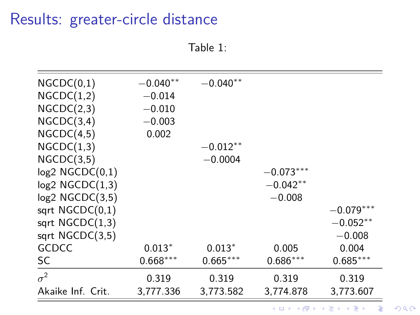#### Results: greater-circle distance

Table 1:

| NGCDC(0,1)           | $-0.040**$ | $-0.040**$ |             |             |
|----------------------|------------|------------|-------------|-------------|
| NGCDC(1,2)           | $-0.014$   |            |             |             |
| NGCDC(2,3)           | $-0.010$   |            |             |             |
| NGCDC(3,4)           | $-0.003$   |            |             |             |
| NGCDC(4,5)           | 0.002      |            |             |             |
| NGCDC(1,3)           |            | $-0.012**$ |             |             |
| NGCDC(3,5)           |            | $-0.0004$  |             |             |
| $log2$ NGCDC $(0,1)$ |            |            | $-0.073***$ |             |
| $log2$ NGCDC $(1,3)$ |            |            | $-0.042**$  |             |
| $log2$ NGCDC $(3,5)$ |            |            | $-0.008$    |             |
| sqrt $NGCDC(0,1)$    |            |            |             | $-0.079***$ |
| sqrt $NGCDC(1,3)$    |            |            |             | $-0.052**$  |
| sqrt $NGCDC(3,5)$    |            |            |             | $-0.008$    |
| <b>GCDCC</b>         | $0.013*$   | $0.013*$   | 0.005       | 0.004       |
| <b>SC</b>            | $0.668***$ | $0.665***$ | $0.686***$  | $0.685***$  |
| $\sigma^2$           | 0.319      | 0.319      | 0.319       | 0.319       |
| Akaike Inf. Crit.    | 3,777.336  | 3,773.582  | 3,774.878   | 3,773.607   |

KO K K Ø K K E K K E K V K K K K K K K K K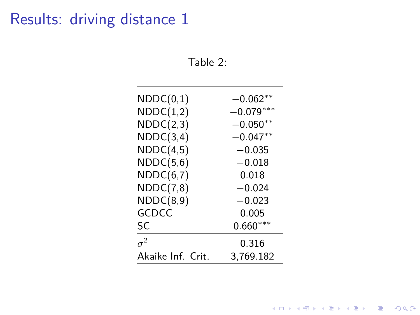# Results: driving distance 1

Table 2:

| $-0.062^{\ast\ast}$ |
|---------------------|
| $-0.079***$         |
| $-0.050**$          |
| $-0.047**$          |
| $-0.035$            |
| $-0.018$            |
| 0.018               |
| $-0.024$            |
| $-0.023$            |
| 0.005               |
| $0.660***$          |
| 0.316               |
| 3.769.182           |
|                     |

K ロ ▶ K @ ▶ K 할 ▶ K 할 ▶ | 할 | ⊙Q @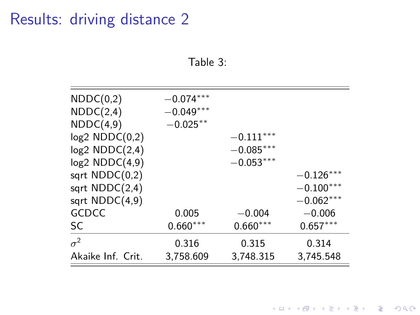# Results: driving distance 2

Table 3:

| NDDC(0,2)         | $-0.074***$ |             |             |
|-------------------|-------------|-------------|-------------|
| NDDC(2,4)         | $-0.049***$ |             |             |
| NDDC(4,9)         | $-0.025***$ |             |             |
| log2 NDDC(0,2)    |             | $-0.111***$ |             |
| log2 NDDC(2,4)    |             | $-0.085***$ |             |
| log2 NDDC(4,9)    |             | $-0.053***$ |             |
| sqrt $NDDC(0,2)$  |             |             | $-0.126***$ |
| sqrt $NDDC(2,4)$  |             |             | $-0.100***$ |
| sqrt NDDC(4,9)    |             |             | $-0.062***$ |
| GCDCC             | 0.005       | $-0.004$    | $-0.006$    |
| SC                | $0.660***$  | $0.660***$  | $0.657***$  |
| $\sigma^2$        | 0.316       | 0.315       | 0.314       |
| Akaike Inf. Crit. | 3,758.609   | 3,748.315   | 3,745.548   |
|                   |             |             |             |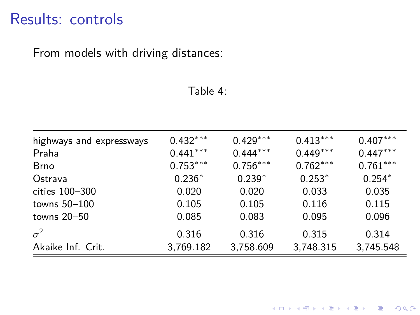#### Results: controls

From models with driving distances:

#### Table 4:

| highways and expressways | $0.432***$ | $0.429***$ | $0.413***$ | $0.407***$ |
|--------------------------|------------|------------|------------|------------|
| Praha                    | $0.441***$ | $0.444***$ | $0.449***$ | $0.447***$ |
| <b>Brno</b>              | $0.753***$ | $0.756***$ | $0.762***$ | $0.761***$ |
| Ostrava                  | $0.236*$   | $0.239*$   | $0.253*$   | $0.254*$   |
| cities 100-300           | 0.020      | 0.020      | 0.033      | 0.035      |
| towns $50-100$           | 0.105      | 0.105      | 0.116      | 0.115      |
| towns $20 - 50$          | 0.085      | 0.083      | 0.095      | 0.096      |
| $\sigma^2$               | 0.316      | 0.316      | 0.315      | 0.314      |
| Akaike Inf. Crit.        | 3,769.182  | 3,758.609  | 3,748.315  | 3,745.548  |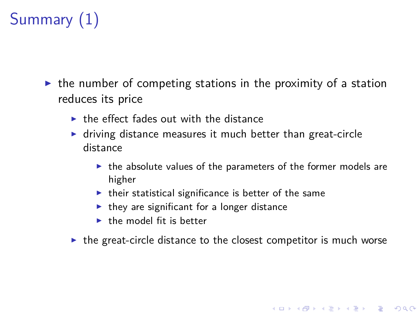# Summary (1)

- $\triangleright$  the number of competing stations in the proximity of a station reduces its price
	- $\triangleright$  the effect fades out with the distance
	- $\blacktriangleright$  driving distance measures it much better than great-circle distance
		- $\triangleright$  the absolute values of the parameters of the former models are higher

K ロ ▶ K 個 ▶ K 할 ▶ K 할 ▶ 이 할 → 9 Q Q →

- $\blacktriangleright$  their statistical significance is better of the same
- $\blacktriangleright$  they are significant for a longer distance
- $\blacktriangleright$  the model fit is better
- $\triangleright$  the great-circle distance to the closest competitor is much worse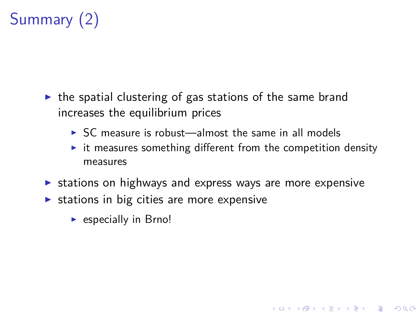# Summary (2)

- $\triangleright$  the spatial clustering of gas stations of the same brand increases the equilibrium prices
	- $\triangleright$  SC measure is robust—almost the same in all models
	- $\triangleright$  it measures something different from the competition density measures

- $\triangleright$  stations on highways and express ways are more expensive
- $\triangleright$  stations in big cities are more expensive
	- $\blacktriangleright$  especially in Brno!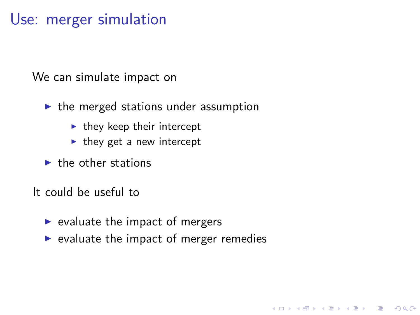#### Use: merger simulation

We can simulate impact on

- $\blacktriangleright$  the merged stations under assumption
	- $\blacktriangleright$  they keep their intercept
	- $\blacktriangleright$  they get a new intercept
- $\blacktriangleright$  the other stations

It could be useful to

- $\blacktriangleright$  evaluate the impact of mergers
- $\triangleright$  evaluate the impact of merger remedies

**KORKARYKERKER POLO**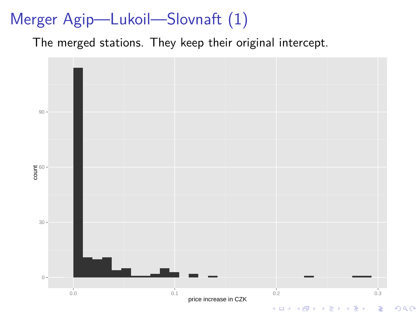# Merger Agip—Lukoil—Slovnaft (1)

The merged stations. They keep their original intercept.

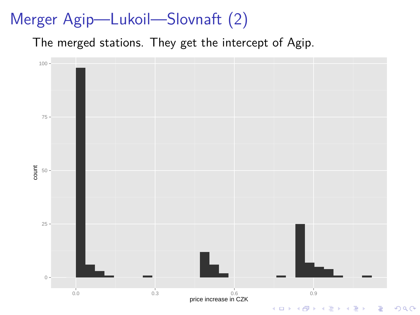# Merger Agip—Lukoil—Slovnaft (2)

The merged stations. They get the intercept of Agip.

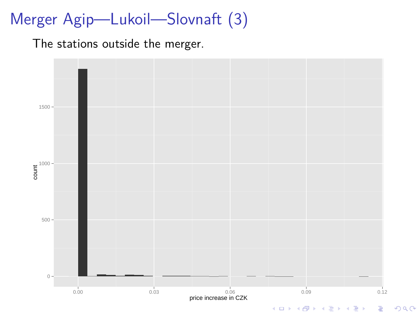# Merger Agip—Lukoil—Slovnaft (3)

The stations outside the merger.